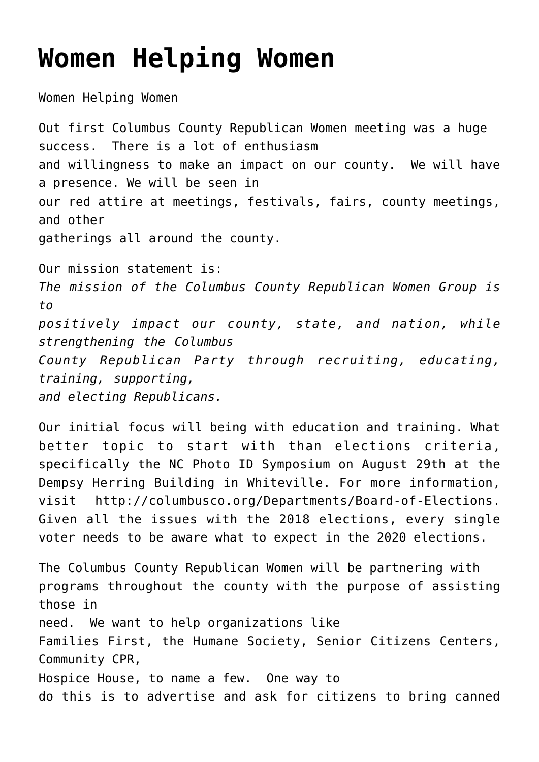## **[Women Helping Women](https://columbuscountyconservative.com/index.php/women-helping-women/)**

Women Helping Women

Out first Columbus County Republican Women meeting was a huge success. There is a lot of enthusiasm and willingness to make an impact on our county. We will have a presence. We will be seen in our red attire at meetings, festivals, fairs, county meetings, and other gatherings all around the county. Our mission statement is: *The mission of the Columbus County Republican Women Group is to*

*positively impact our county, state, and nation, while strengthening the Columbus County Republican Party through recruiting, educating,*

*training, supporting, and electing Republicans.*

Our initial focus will being with education and training. What better topic to start with than elections criteria, specifically the NC Photo ID Symposium on August 29th at the Dempsy Herring Building in Whiteville. For more information, visit http://columbusco.org/Departments/Board-of-Elections. Given all the issues with the 2018 elections, every single voter needs to be aware what to expect in the 2020 elections.

The Columbus County Republican Women will be partnering with programs throughout the county with the purpose of assisting those in need. We want to help organizations like Families First, the Humane Society, Senior Citizens Centers, Community CPR, Hospice House, to name a few. One way to do this is to advertise and ask for citizens to bring canned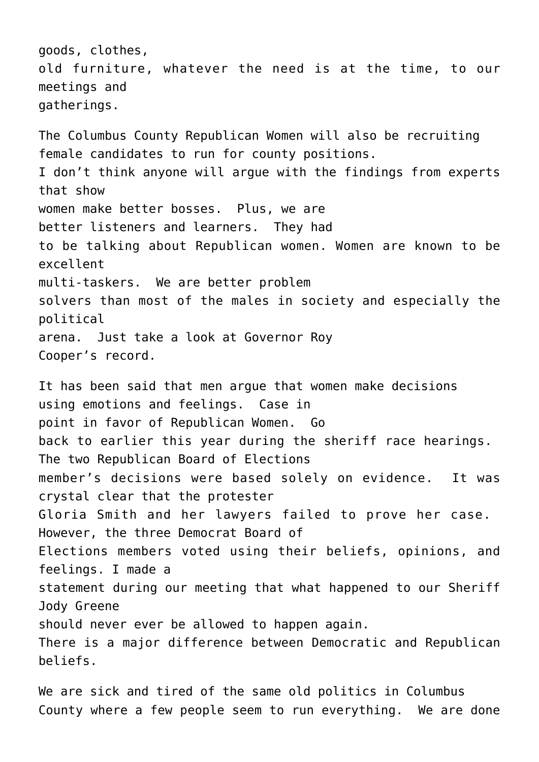goods, clothes, old furniture, whatever the need is at the time, to our meetings and gatherings.

The Columbus County Republican Women will also be recruiting female candidates to run for county positions. I don't think anyone will argue with the findings from experts that show women make better bosses. Plus, we are better listeners and learners. They had to be talking about Republican women. Women are known to be excellent multi-taskers. We are better problem solvers than most of the males in society and especially the political arena. Just take a look at Governor Roy Cooper's record.

It has been said that men argue that women make decisions using emotions and feelings. Case in point in favor of Republican Women. Go back to earlier this year during the sheriff race hearings. The two Republican Board of Elections member's decisions were based solely on evidence. It was crystal clear that the protester Gloria Smith and her lawyers failed to prove her case. However, the three Democrat Board of Elections members voted using their beliefs, opinions, and feelings. I made a statement during our meeting that what happened to our Sheriff Jody Greene should never ever be allowed to happen again. There is a major difference between Democratic and Republican beliefs.

We are sick and tired of the same old politics in Columbus County where a few people seem to run everything. We are done